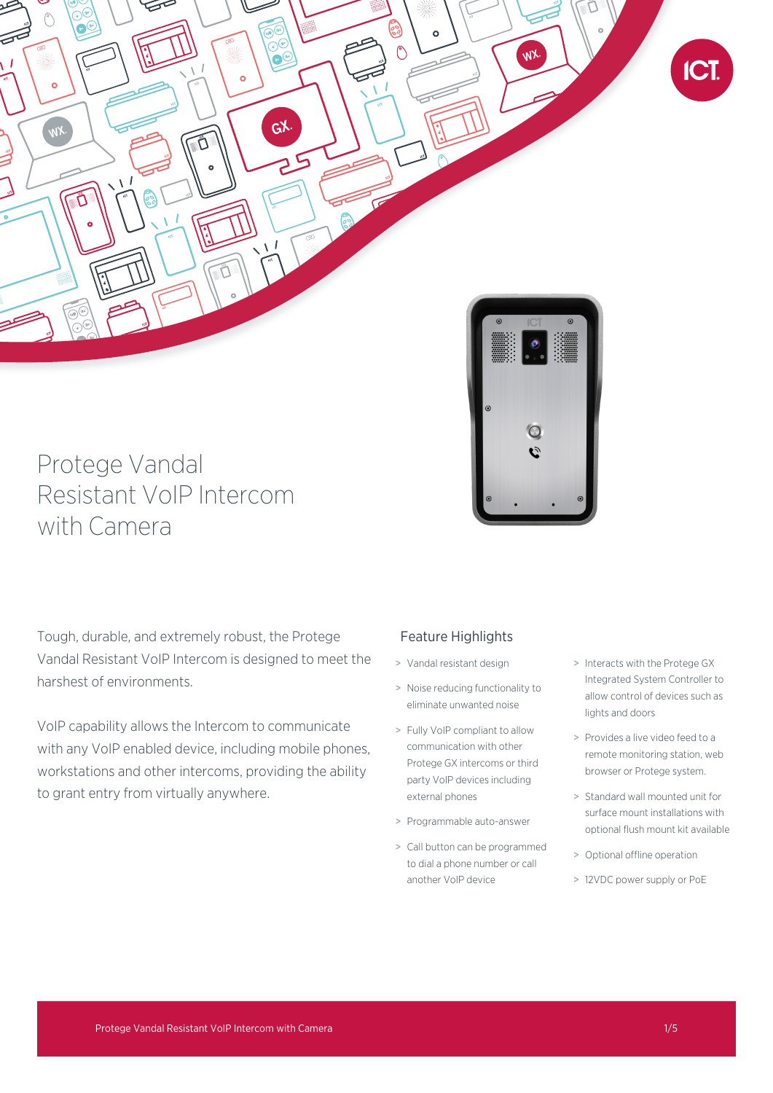

# Protege Vandal Resistant VoIP Intercom with Camera

Tough, durable, and extremely robust, the Protege Vandal Resistant VoIP Intercom is designed to meet the harshest of environments.

VoIP capability allows the Intercom to communicate with any VoIP enabled device, including mobile phones, workstations and other intercoms, providing the ability to grant entry from virtually anywhere.

# Feature Highlights

- > Vandal resistant design
- > Noise reducing functionality to eliminate unwanted noise
- > Fully VoIP compliant to allow communication with other Protege GX intercoms or third party VoIP devices including external phones
- > Programmable auto-answer
- > Call button can be programmed to dial a phone number or call another VoIP device
- > Interacts with the Protege GX Integrated System Controller to allow control of devices such as lights and doors
- > Provides a live video feed to a remote monitoring station, web browser or Protege system.
- > Standard wall mounted unit for surface mount installations with optional flush mount kit available
- > Optional offline operation
- > 12VDC power supply or PoE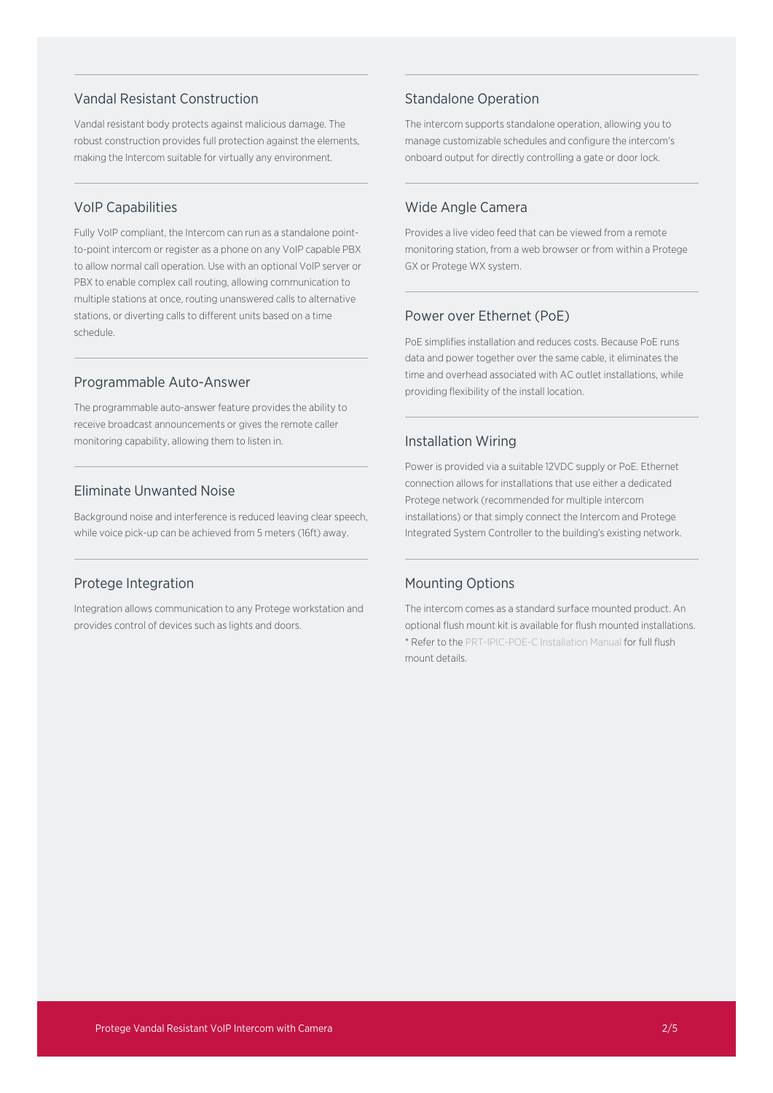# Vandal Resistant Construction

Vandal resistant body protects against malicious damage. The robust construction provides full protection against the elements, making the Intercom suitable for virtually any environment.

# VoIP Capabilities

Fully VoIP compliant, the Intercom can run as a standalone pointto-point intercom or register as a phone on any VoIP capable PBX to allow normal call operation. Use with an optional VoIP server or PBX to enable complex call routing, allowing communication to multiple stations at once, routing unanswered calls to alternative stations, or diverting calls to different units based on a time schedule.

### Programmable Auto-Answer

The programmable auto-answer feature provides the ability to receive broadcast announcements or gives the remote caller monitoring capability, allowing them to listen in.

# Eliminate Unwanted Noise

Background noise and interference is reduced leaving clear speech, while voice pick-up can be achieved from 5 meters (16ft) away.

# Protege Integration

Integration allows communication to any Protege workstation and provides control of devices such as lights and doors.

# Standalone Operation

The intercom supports standalone operation, allowing you to manage customizable schedules and configure the intercom's onboard output for directly controlling a gate or door lock.

### Wide Angle Camera

Provides a live video feed that can be viewed from a remote monitoring station, from a web browser or from within a Protege GX or Protege WX system.

## Power over Ethernet (PoE)

PoE simplifies installation and reduces costs. Because PoE runs data and power together over the same cable, it eliminates the time and overhead associated with AC outlet installations, while providing flexibility of the install location.

## Installation Wiring

Power is provided via a suitable 12VDC supply or PoE. Ethernet connection allows for installations that use either a dedicated Protege network (recommended for multiple intercom installations) or that simply connect the Intercom and Protege Integrated System Controller to the building's existing network.

# Mounting Options

The intercom comes as a standard surface mounted product. An optional flush mount kit is available for flush mounted installations. \* Refer to the PRT-IPIC-POE-C Installation Manual for full flush mount details.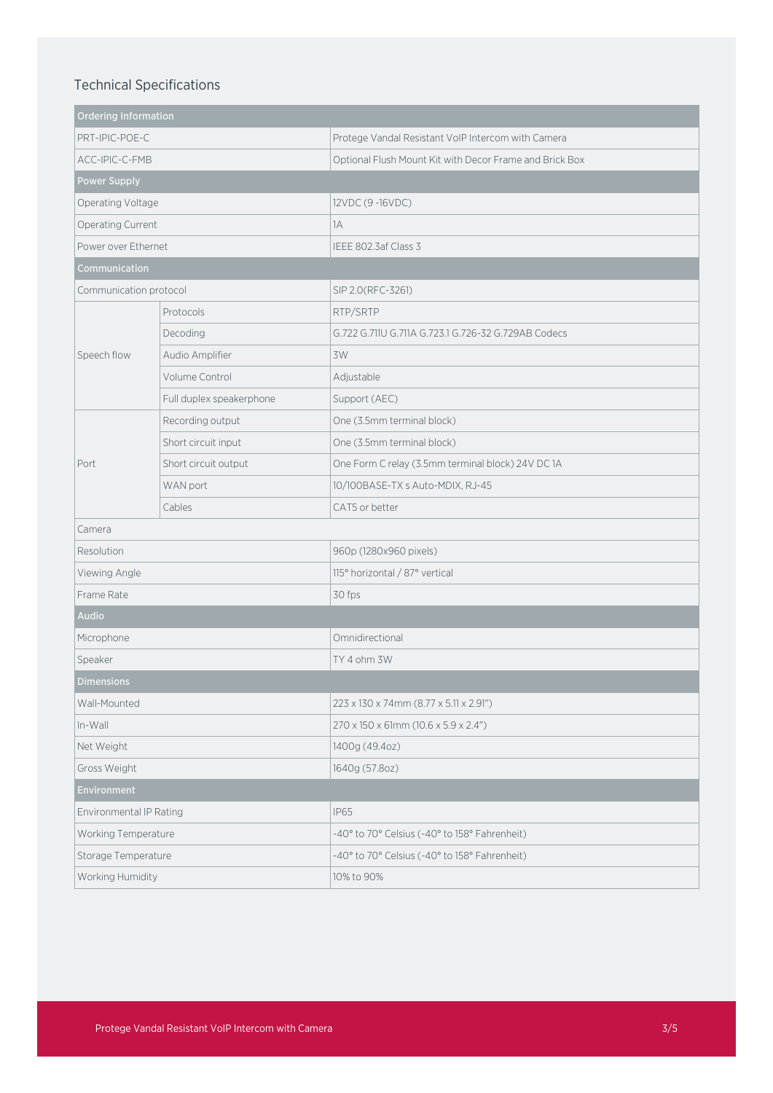# Technical Specifications

| <b>Ordering Information</b> |                          |                                                         |
|-----------------------------|--------------------------|---------------------------------------------------------|
| PRT-IPIC-POE-C              |                          | Protege Vandal Resistant VoIP Intercom with Camera      |
| ACC-IPIC-C-FMB              |                          | Optional Flush Mount Kit with Decor Frame and Brick Box |
| <b>Power Supply</b>         |                          |                                                         |
| Operating Voltage           |                          | 12VDC (9-16VDC)                                         |
| Operating Current           |                          | 1A                                                      |
| Power over Ethernet         |                          | IEEE 802.3af Class 3                                    |
| Communication               |                          |                                                         |
| Communication protocol      |                          | SIP 2.0(RFC-3261)                                       |
| Speech flow                 | Protocols                | RTP/SRTP                                                |
|                             | Decoding                 | G.722 G.711U G.711A G.723.1 G.726-32 G.729AB Codecs     |
|                             | Audio Amplifier          | 3W                                                      |
|                             | Volume Control           | Adjustable                                              |
|                             | Full duplex speakerphone | Support (AEC)                                           |
| Port                        | Recording output         | One (3.5mm terminal block)                              |
|                             | Short circuit input      | One (3.5mm terminal block)                              |
|                             | Short circuit output     | One Form C relay (3.5mm terminal block) 24V DC 1A       |
|                             | WAN port                 | 10/100BASE-TX s Auto-MDIX, RJ-45                        |
|                             | Cables                   | CAT5 or better                                          |
| Camera                      |                          |                                                         |
| Resolution                  |                          | 960p (1280x960 pixels)                                  |
| Viewing Angle               |                          | 115° horizontal / 87° vertical                          |
| Frame Rate                  |                          | 30 fps                                                  |
| <b>Audio</b>                |                          |                                                         |
| Microphone                  |                          | Omnidirectional                                         |
| Speaker                     |                          | TY 4 ohm 3W                                             |
| <b>Dimensions</b>           |                          |                                                         |
| Wall-Mounted                |                          | 223 x 130 x 74mm (8.77 x 5.11 x 2.91")                  |
| In-Wall                     |                          | 270 x 150 x 61mm (10.6 x 5.9 x 2.4")                    |
| Net Weight                  |                          | 1400g (49.4oz)                                          |
| Gross Weight                |                          | 1640g (57.8oz)                                          |
| Environment                 |                          |                                                         |
| Environmental IP Rating     |                          | <b>IP65</b>                                             |
| Working Temperature         |                          | -40° to 70° Celsius (-40° to 158° Fahrenheit)           |
| Storage Temperature         |                          | -40° to 70° Celsius (-40° to 158° Fahrenheit)           |
| Working Humidity            |                          | 10% to 90%                                              |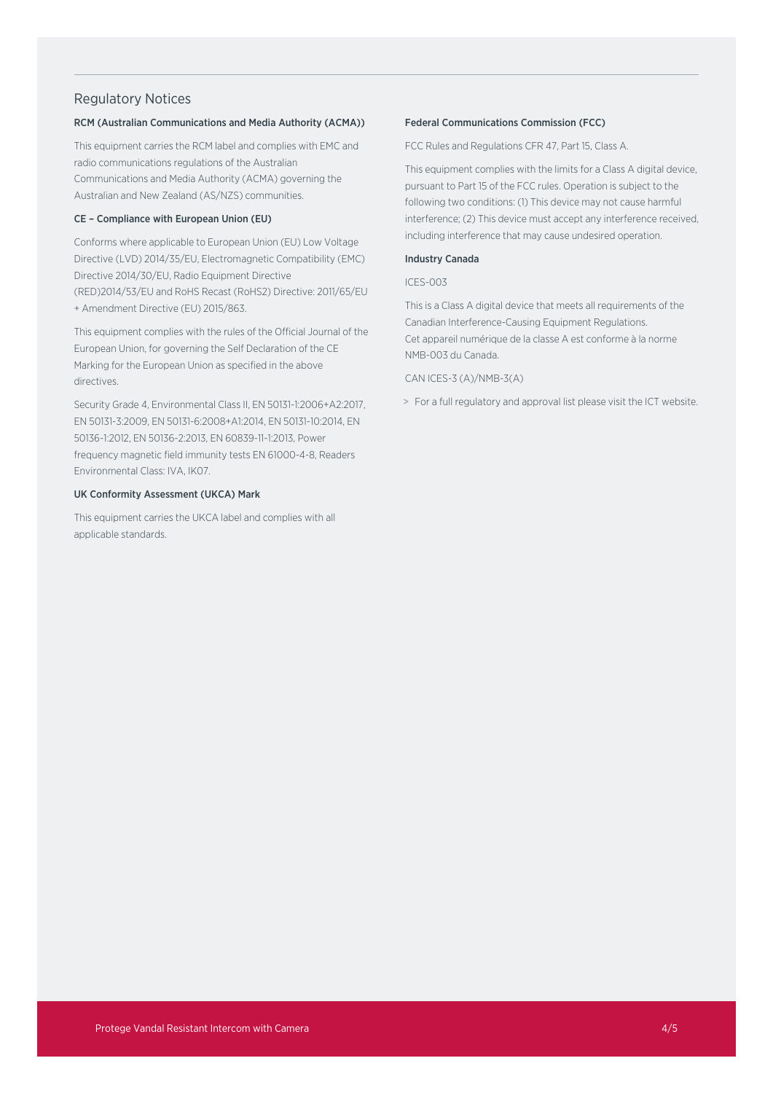# Regulatory Notices

### RCM (Australian Communications and Media Authority (ACMA))

This equipment carries the RCM label and complies with EMC and radio communications regulations of the Australian Communications and Media Authority (ACMA) governing the Australian and New Zealand (AS/NZS) communities.

### CE – Compliance with European Union (EU)

Conforms where applicable to European Union (EU) Low Voltage Directive (LVD) 2014/35/EU, Electromagnetic Compatibility (EMC) Directive 2014/30/EU, Radio Equipment Directive (RED)2014/53/EU and RoHS Recast (RoHS2) Directive: 2011/65/EU + Amendment Directive (EU) 2015/863.

This equipment complies with the rules of the Official Journal of the European Union, for governing the Self Declaration of the CE Marking for the European Union as specified in the above directives.

Security Grade 4, Environmental Class II, EN 50131-1:2006+A2:2017, EN 50131-3:2009, EN 50131-6:2008+A1:2014, EN 50131-10:2014, EN 50136-1:2012, EN 50136-2:2013, EN 60839-11-1:2013, Power frequency magnetic field immunity tests EN 61000-4-8, Readers Environmental Class: IVA, IK07.

### UK Conformity Assessment (UKCA) Mark

This equipment carries the UKCA label and complies with all applicable standards.

### Federal Communications Commission (FCC)

FCC Rules and Regulations CFR 47, Part 15, Class A.

This equipment complies with the limits for a Class A digital device, pursuant to Part 15 of the FCC rules. Operation is subject to the following two conditions: (1) This device may not cause harmful interference; (2) This device must accept any interference received, including interference that may cause undesired operation.

### Industry Canada

### ICES-003

This is a Class A digital device that meets all requirements of the Canadian Interference-Causing Equipment Regulations. Cet appareil numérique de la classe A est conforme à la norme NMB-003 du Canada.

### CAN ICES-3 (A)/NMB-3(A)

> For a full regulatory and approval list please visit the ICT website.